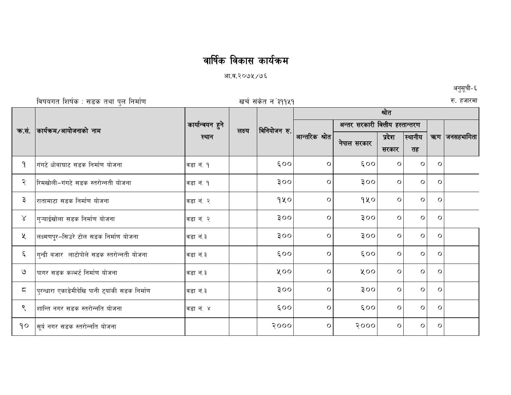## वार्षिक विकास कार्यक्रम

आ.व.२०७५ ⁄७६

ljifout lzif{s M ;8s tyf k'n lgdf{0f vr{ ;+s]t g +#!!%! रु. हजारमा

|                   | कार्यक्रम/आयोजनाको नाम                         | कार्यान्वयन हुने<br>स्थान | लक्ष्य | विनियोजन रु. | श्रोत         |                                 |         |          |         |                |
|-------------------|------------------------------------------------|---------------------------|--------|--------------|---------------|---------------------------------|---------|----------|---------|----------------|
| क.सं.             |                                                |                           |        |              |               | अन्तर सरकारी वित्तीय हस्तान्तरण |         |          |         |                |
|                   |                                                |                           |        |              | आन्तरिक श्रोत |                                 | प्रदेश  | स्थानीय  |         | ऋण  जनसहभागिता |
|                   |                                                |                           |        |              |               | नेपाल सरकार                     | सरकार   | तह       |         |                |
| ۹                 | गंगटे धोबाघाट सडक निर्माण योजना                | वडा नं. १                 |        | 500          | $\circ$       | 500                             | $\circ$ | $\Omega$ | $\circ$ |                |
| २                 | रिमखोली–गंगटे सडक स्तरोन्नती योजना             | वडा नं. १                 |        | 300          | $\circ$       | 300                             | $\circ$ | $\circ$  | $\circ$ |                |
| ३                 | रातामाटा सडक निर्माण योजना                     | वडा नं. २                 |        | १५०          | $\circ$       | 920                             | $\circ$ | $\circ$  | $\circ$ |                |
| $\propto$         | गुऱ्याईखोला सडक निर्माण योजना                  | वडा नं. २                 |        | 300          | $\circ$       | 300                             | $\circ$ | $\circ$  | $\circ$ |                |
| ५                 | लक्ष्मणपूर–सिउरे टोल सडक निर्माण योजना         | वडा नं.३                  |        | 300          | $\circ$       | 300                             | $\circ$ | $\circ$  | $\circ$ |                |
| ६                 | गुन्द्री बजार  लाटोपोले सडक स्तरोन्नती योजना   | वडा नं.३                  |        | 500          | $\circ$       | 500                             | $\circ$ | $\circ$  | $\circ$ |                |
| ৩                 | पागर सडक कल्भर्ट निर्माण योजना                 | वडा नं.३                  |        | ५००          | $\circ$       | ४००                             | $\circ$ | $\circ$  | $\circ$ |                |
| $\zeta$           | पुरन्धारा एकाडेमीदेखि पानी ट्यांकी सडक निर्माण | वडा नं.३                  |        | 300          | $\circ$       | 300                             | $\circ$ | $\Omega$ | $\circ$ |                |
| ९                 | शान्ति नगर सडक स्तरोन्नति योजना                | वडा नं. ४                 |        | 500          | $\circ$       | 500                             | $\circ$ | $\circ$  | $\circ$ |                |
| $\mathsf{q}\circ$ | सूर्य नगर सडक स्तरोन्नति योजना                 |                           |        | २०००         | $\circ$       | २०००                            | $\circ$ | $\circ$  | $\circ$ |                |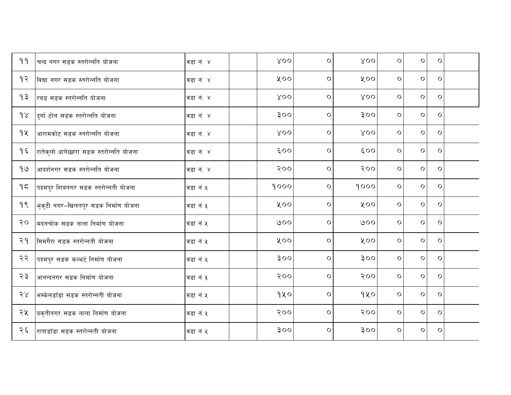| 99       | चन्द्र नगर सडक स्तरोन्नति योजना        | वडा नं. ४ | $X$ 00 | $\circ$ | $X$ 00 | $\circ$      | $\circ$ | $\circ$ |  |
|----------|----------------------------------------|-----------|--------|---------|--------|--------------|---------|---------|--|
| १२       | विद्या नगर सडक स्तरोन्नति योजना        | वडा नं. ४ | ५००    | $\circ$ | ५००    | $\circ$      | $\circ$ | $\circ$ |  |
| १३       | रबड सडक स्तरोन्नति योजना               | वडा नं. ४ | $X$ 00 | O       | $X$ 00 | $\circ$      | $\circ$ | $\circ$ |  |
| $\delta$ | दुर्गा टोल सडक स्तरोन्नति योजना        | वडा नं. ४ | 300    | $\circ$ | 300    | $\circ$      | $\circ$ | $\circ$ |  |
| 9 k      | आरामकोट सडक स्तरोन्नति योजना           | वडा नं. ४ | $X$ 00 | $\circ$ | $X$ 00 | $\circ$      | $\circ$ | $\circ$ |  |
| १६       | रातेकुलो धागेछहरा सडक स्तरोन्नति योजना | वडा नं. ४ | 500    | $\circ$ | 500    | $\circ$      | $\circ$ | $\circ$ |  |
| و) ا     | आदर्शनगर सडक स्तरोन्नति योजना          | वडा नं. ४ | २००    | $\circ$ | २००    | $\circ$      | $\circ$ | $\circ$ |  |
| 95       | पदमपुर शिबनगर सडक स्तरोन्नती योजना     | वडा नं ५  | 9000   | $\circ$ | 9000   | $\circ$      | $\circ$ | $\circ$ |  |
| १९       | भृकुटी नगर-खिलतपुर सडक निर्माण योजना   | वडा नं ५  | ५००    | $\circ$ | ५००    | $\circ$      | $\circ$ | $\circ$ |  |
| २०       | मदनचोक सडक नाला निर्माण योजना          | वडा नं ५  | ७००    | $\circ$ | ७००    | $\circ$      | $\circ$ | $\circ$ |  |
| २१       | सिमगैरा सडक स्तरोन्नती योजना           | वडा नं ५  | ५००    | $\circ$ | ५००    | $\circ$      | $\circ$ | $\circ$ |  |
| २२       | पदमपुर सडक कल्भर्ट निर्माण योजना       | वडा नं ५  | 300    | $\circ$ | 300    | $\circ$      | $\circ$ | $\circ$ |  |
| २३       | आनन्दनगर सडक निर्माण योजना             | वडा नं ५  | २००    | $\circ$ | २००    | $\mathsf{o}$ | $\circ$ | $\circ$ |  |
| २४       | भम्केलडाँडा सडक स्तरोन्नती योजना       | वडा नं ५  | १५०    | $\circ$ | १५०    | $\circ$      | $\circ$ | $\circ$ |  |
| २५       | प्रकृतीनगर सडक नाला निर्माण योजना      | वडा नं ५  | २००    | $\circ$ | २००    | $\circ$      | $\circ$ | $\circ$ |  |
| २६       | राताडाँडा सडक स्तरोन्नती योजना         | वडा नं ५  | 300    | $\circ$ | 300    | $\circ$      | $\circ$ | $\circ$ |  |
|          |                                        |           |        |         |        |              |         |         |  |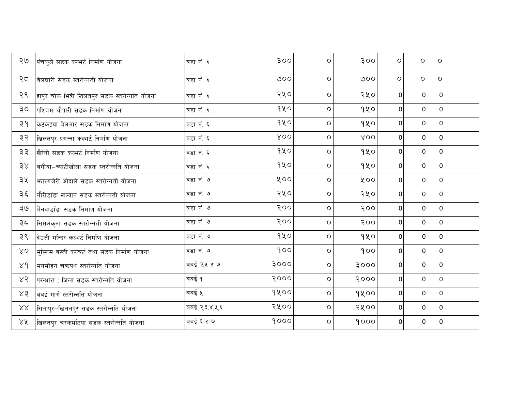| २७                          | पंचकुले सडक कल्भर्ट निर्माण योजना              | वडा नं. ६     | 300    | $\circ$ | 300    | $\circ$      | $\circ$        | $\circ$     |  |
|-----------------------------|------------------------------------------------|---------------|--------|---------|--------|--------------|----------------|-------------|--|
| २८                          | बिलघारी सडक स्तरोन्नती योजना                   | वडा नं. ६     | ७००    | $\circ$ | ७००    | $\circ$      | $\circ$        | $\circ$     |  |
| २९                          | हापुरे चोक भित्री खिलतपुर सडक स्तरोन्नति योजना | वडा नं. ६     | २५०    | $\circ$ | २५०    | $\Omega$     | 0              | $\Omega$    |  |
| ३०                          | पश्चिम चौपारी सडक निर्माण योजना                | वडा नं. ६     | gyo    | $\circ$ | gyo    | $\mathbf{0}$ | 0              | 0           |  |
| ३१                          | कुटकुइया बेलभार सडक निर्माण योजना              | वडा नं. ६     | gyo    | $\circ$ | 920    | $\Omega$     | 0              | $\Omega$    |  |
| ३२                          | खिलतपुर प्रगन्ना कल्भर्ट निर्माण योजना         | वडा नं. ६     | $X$ 00 | $\circ$ | $X$ 00 | $\Omega$     | $\Omega$       | $\Omega$    |  |
| ३३                          | खैरेनी सडक कल्भर्ट निर्माण योजना               | वडा नं. ६     | 920    | $\circ$ | 9x0    | $\Omega$     | $\Omega$       | $\Omega$    |  |
| 38                          | बगीया–च्याटीखोला सडक स्तरोन्नति योजना          | वडा नं. ६     | gyo    | $\circ$ | gyo    | $\mathbf 0$  | $\mathbf 0$    | $\mathbf 0$ |  |
| ३५                          | कारगजेरी ओदाले सडक स्तरोन्नती योजना            | वडा नं. ७     | ५००    | $\circ$ | ५००    | $\Omega$     | 0              | $\Omega$    |  |
| ३६                          | गौरीडाँडा खल्यान सडक स्तरोन्नती योजना          | वडा नं. ७     | २५०    | $\circ$ | २५०    | $\mathbf 0$  | 0              | $\Omega$    |  |
| ३७                          | मैनवाडाँडा सडक निर्माण योजना                   | वडा नं. ७     | २००    | $\circ$ | २००    | $\Omega$     | $\Omega$       | $\Omega$    |  |
| ३८                          | सिमलकुना सडक स्तरोन्नती योजना                  | वडा नं. ७     | २००    | $\circ$ | २००    | $\mathbf 0$  | $\overline{0}$ | $\mathbf 0$ |  |
| ३९                          | दिउती मन्दिर कल्भर्ट निर्माण योजना             | वडा नं. ७     | gyo    | $\circ$ | 920    | $\Omega$     | 0              | $\Omega$    |  |
| δo                          | मुस्लिम बस्ती कल्चर्ट तथा सडक निर्माण योजना    | वडा नं. ७     | 900    | $\circ$ | 900    | $\Omega$     | 0              | $\Omega$    |  |
| 88                          | मनमोहन चक्रपथ स्तरोन्नति योजना                 | बबई २,५ र ७   | 3000   | $\circ$ | 3000   | $\Omega$     | $\Omega$       | $\Omega$    |  |
| 85                          | पुरन्धारा ( जिला सडक स्तरोन्नति योजना          | बबई १         | २०००   | $\circ$ | २०००   | $\Omega$     | 0              | $\Omega$    |  |
| Χ3                          | बबई मार्ग स्तरोन्नति योजना                     | बबई ५         | 9200   | $\circ$ | 9200   | $\Omega$     | 0              | $\Omega$    |  |
| 88                          | सितापुर-खिलतपुर सडक स्तरोन्नति योजना           | बबई २,३,४,५,६ | २५००   | $\circ$ | २५००   | $\mathbf 0$  | 0              | $\Omega$    |  |
| $\times \tilde{\mathsf{x}}$ | खिलतपुर चरकमटिया सडक स्तरोन्नति योजना          | बबई ६ र ७     | 9000   | $\circ$ | 9000   | $\Omega$     | $\Omega$       | $\Omega$    |  |
|                             |                                                |               |        |         |        |              |                |             |  |